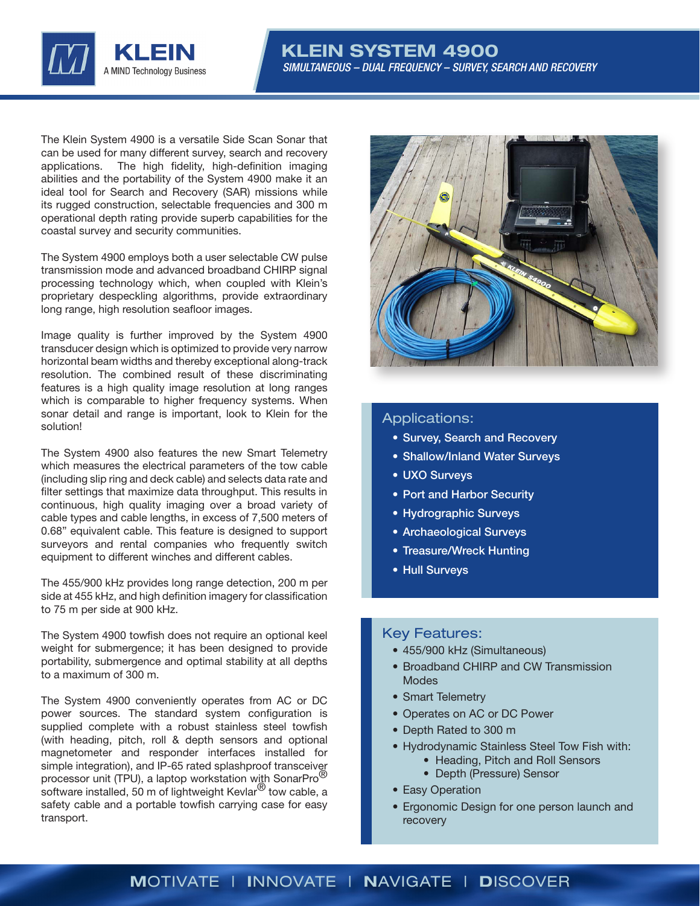

The Klein System 4900 is a versatile Side Scan Sonar that can be used for many different survey, search and recovery applications. The high fidelity, high-definition imaging abilities and the portability of the System 4900 make it an ideal tool for Search and Recovery (SAR) missions while its rugged construction, selectable frequencies and 300 m operational depth rating provide superb capabilities for the coastal survey and security communities.

The System 4900 employs both a user selectable CW pulse transmission mode and advanced broadband CHIRP signal processing technology which, when coupled with Klein's proprietary despeckling algorithms, provide extraordinary long range, high resolution seafloor images.

Image quality is further improved by the System 4900 transducer design which is optimized to provide very narrow horizontal beam widths and thereby exceptional along-track resolution. The combined result of these discriminating features is a high quality image resolution at long ranges which is comparable to higher frequency systems. When sonar detail and range is important, look to Klein for the solution!

The System 4900 also features the new Smart Telemetry which measures the electrical parameters of the tow cable (including slip ring and deck cable) and selects data rate and filter settings that maximize data throughput. This results in continuous, high quality imaging over a broad variety of cable types and cable lengths, in excess of 7,500 meters of 0.68" equivalent cable. This feature is designed to support surveyors and rental companies who frequently switch equipment to different winches and different cables.

The 455/900 kHz provides long range detection, 200 m per side at 455 kHz, and high definition imagery for classification to 75 m per side at 900 kHz.

The System 4900 towfish does not require an optional keel weight for submergence; it has been designed to provide portability, submergence and optimal stability at all depths to a maximum of 300 m.

The System 4900 conveniently operates from AC or DC power sources. The standard system configuration is supplied complete with a robust stainless steel towfish (with heading, pitch, roll & depth sensors and optional magnetometer and responder interfaces installed for simple integration), and IP-65 rated splashproof transceiver processor unit (TPU), a laptop workstation with SonarPro<sup>®</sup> software installed, 50 m of lightweight Kevlar<sup>®</sup> tow cable, a safety cable and a portable towfish carrying case for easy transport.



### Applications:

- Survey, Search and Recovery
- Shallow/Inland Water Surveys
- UXO Surveys
- Port and Harbor Security
- Hydrographic Surveys
- Archaeological Surveys
- Treasure/Wreck Hunting
- Hull Surveys

### Key Features:

- 455/900 kHz (Simultaneous)
- Broadband CHIRP and CW Transmission Modes
- Smart Telemetry
- Operates on AC or DC Power
- Depth Rated to 300 m
- Hydrodynamic Stainless Steel Tow Fish with:
	- Heading, Pitch and Roll Sensors
	- Depth (Pressure) Sensor
- Easy Operation
- Ergonomic Design for one person launch and recovery

## MOTIVATE | INNOVATE | NAVIGATE | DISCOVER